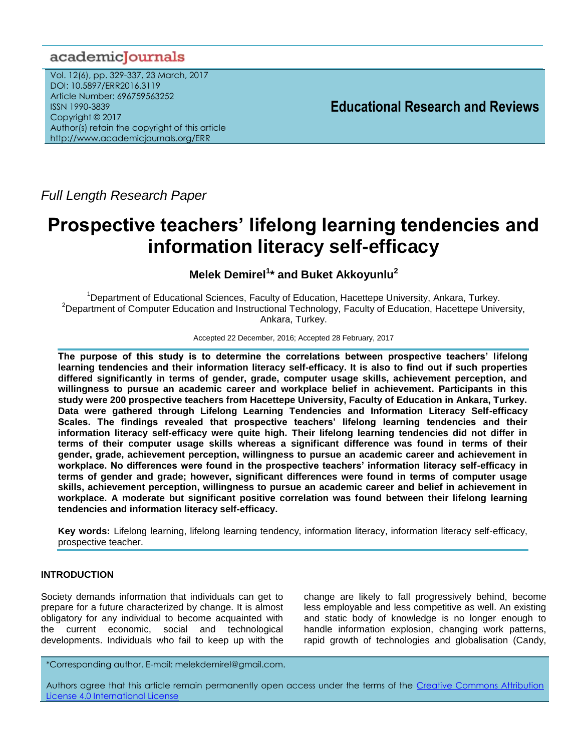# academicJournals

Vol. 12(6), pp. 329-337, 23 March, 2017 DOI: 10.5897/ERR2016.3119 Article Number: 696759563252 ISSN 1990-3839 Copyright © 2017 Author(s) retain the copyright of this article http://www.academicjournals.org/ERR

**Educational Research and Reviews**

*Full Length Research Paper*

# **Prospective teachers' lifelong learning tendencies and information literacy self-efficacy**

# **Melek Demirel<sup>1</sup> \* and Buket Akkoyunlu<sup>2</sup>**

<sup>1</sup>Department of Educational Sciences, Faculty of Education, Hacettepe University, Ankara, Turkey. <sup>2</sup>Department of Computer Education and Instructional Technology, Faculty of Education, Hacettepe University, Ankara, Turkey.

#### Accepted 22 December, 2016; Accepted 28 February, 2017

**The purpose of this study is to determine the correlations between prospective teachers' lifelong learning tendencies and their information literacy self-efficacy. It is also to find out if such properties differed significantly in terms of gender, grade, computer usage skills, achievement perception, and willingness to pursue an academic career and workplace belief in achievement. Participants in this study were 200 prospective teachers from Hacettepe University, Faculty of Education in Ankara, Turkey. Data were gathered through Lifelong Learning Tendencies and Information Literacy Self-efficacy Scales. The findings revealed that prospective teachers' lifelong learning tendencies and their information literacy self-efficacy were quite high. Their lifelong learning tendencies did not differ in terms of their computer usage skills whereas a significant difference was found in terms of their gender, grade, achievement perception, willingness to pursue an academic career and achievement in workplace. No differences were found in the prospective teachers' information literacy self-efficacy in terms of gender and grade; however, significant differences were found in terms of computer usage skills, achievement perception, willingness to pursue an academic career and belief in achievement in workplace. A moderate but significant positive correlation was found between their lifelong learning tendencies and information literacy self-efficacy.**

**Key words:** Lifelong learning, lifelong learning tendency, information literacy, information literacy self-efficacy, prospective teacher.

# **INTRODUCTION**

Society demands information that individuals can get to prepare for a future characterized by change. It is almost obligatory for any individual to become acquainted with the current economic, social and technological developments. Individuals who fail to keep up with the

change are likely to fall progressively behind, become less employable and less competitive as well. An existing and static body of knowledge is no longer enough to handle information explosion, changing work patterns, rapid growth of technologies and globalisation (Candy,

\*Corresponding author. E-mail: melekdemirel@gmail.com.

Authors agree that this article remain permanently open access under the terms of the [Creative Commons Attribution](file://192.168.1.24/reading/Arts%20and%20Education/ERR/2014/sept/read/Correction%20Pdf%201/ERR-17.04.14-1816/Publication/Creative%20Co)  [License 4.0 International License](file://192.168.1.24/reading/Arts%20and%20Education/ERR/2014/sept/read/Correction%20Pdf%201/ERR-17.04.14-1816/Publication/Creative%20Co)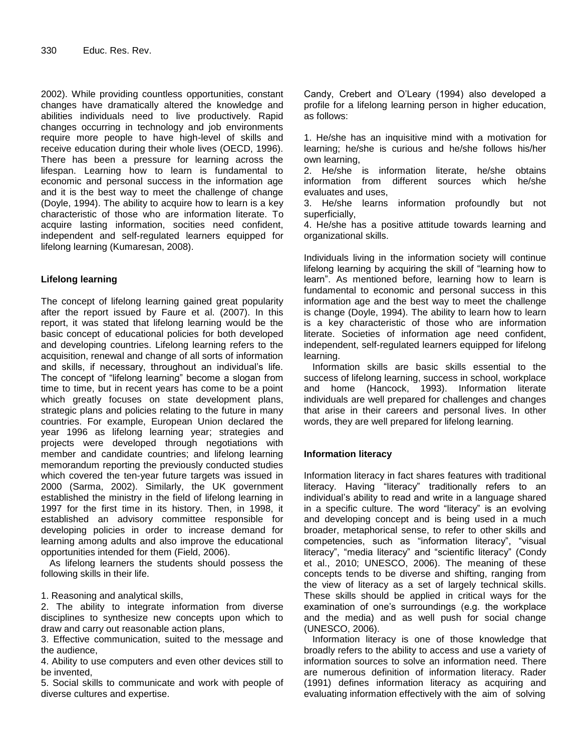2002). While providing countless opportunities, constant changes have dramatically altered the knowledge and abilities individuals need to live productively. Rapid changes occurring in technology and job environments require more people to have high-level of skills and receive education during their whole lives (OECD, 1996). There has been a pressure for learning across the lifespan. Learning how to learn is fundamental to economic and personal success in the information age and it is the best way to meet the challenge of change (Doyle, 1994). The ability to acquire how to learn is a key characteristic of those who are information literate. To acquire lasting information, socities need confident, independent and self-regulated learners equipped for lifelong learning (Kumaresan, 2008).

# **Lifelong learning**

The concept of lifelong learning gained great popularity after the report issued by Faure et al. (2007). In this report, it was stated that lifelong learning would be the basic concept of educational policies for both developed and developing countries. Lifelong learning refers to the acquisition, renewal and change of all sorts of information and skills, if necessary, throughout an individual's life. The concept of "lifelong learning" become a slogan from time to time, but in recent years has come to be a point which greatly focuses on state development plans, strategic plans and policies relating to the future in many countries. For example, European Union declared the year 1996 as lifelong learning year; strategies and projects were developed through negotiations with member and candidate countries; and lifelong learning memorandum reporting the previously conducted studies which covered the ten-year future targets was issued in 2000 (Sarma, 2002). Similarly, the UK government established the ministry in the field of lifelong learning in 1997 for the first time in its history. Then, in 1998, it established an advisory committee responsible for developing policies in order to increase demand for learning among adults and also improve the educational opportunities intended for them (Field, 2006).

As lifelong learners the students should possess the following skills in their life.

# 1. Reasoning and analytical skills,

2. The ability to integrate information from diverse disciplines to synthesize new concepts upon which to draw and carry out reasonable action plans,

3. Effective communication, suited to the message and the audience,

4. Ability to use computers and even other devices still to be invented,

5. Social skills to communicate and work with people of diverse cultures and expertise.

Candy, Crebert and O'Leary (1994) also developed a profile for a lifelong learning person in higher education, as follows:

1. He/she has an inquisitive mind with a motivation for learning; he/she is curious and he/she follows his/her own learning,

2. He/she is information literate, he/she obtains information from different sources which he/she evaluates and uses,

3. He/she learns information profoundly but not superficially,

4. He/she has a positive attitude towards learning and organizational skills.

Individuals living in the information society will continue lifelong learning by acquiring the skill of "learning how to learn". As mentioned before, learning how to learn is fundamental to economic and personal success in this information age and the best way to meet the challenge is change (Doyle, 1994). The ability to learn how to learn is a key characteristic of those who are information literate. Societies of information age need confident, independent, self-regulated learners equipped for lifelong learning.

Information skills are basic skills essential to the success of lifelong learning, success in school, workplace and home (Hancock, 1993). Information literate individuals are well prepared for challenges and changes that arise in their careers and personal lives. In other words, they are well prepared for lifelong learning.

# **Information literacy**

Information literacy in fact shares features with traditional literacy. Having "literacy" traditionally refers to an individual's ability to read and write in a language shared in a specific culture. The word "literacy" is an evolving and developing concept and is being used in a much broader, metaphorical sense, to refer to other skills and competencies, such as "information literacy", "visual literacy", "media literacy" and "scientific literacy" (Condy et al., 2010; UNESCO, 2006). The meaning of these concepts tends to be diverse and shifting, ranging from the view of literacy as a set of largely technical skills. These skills should be applied in critical ways for the examination of one's surroundings (e.g. the workplace and the media) and as well push for social change (UNESCO, 2006).

Information literacy is one of those knowledge that broadly refers to the ability to access and use a variety of information sources to solve an information need. There are numerous definition of information literacy. Rader (1991) defines information literacy as acquiring and evaluating information effectively with the aim of solving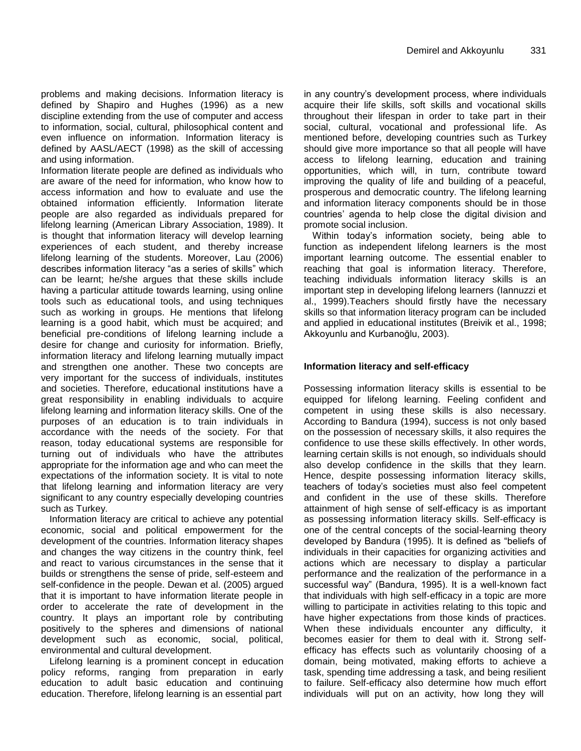problems and making decisions. Information literacy is defined by Shapiro and Hughes (1996) as a new discipline extending from the use of computer and access to information, social, cultural, philosophical content and even influence on information. Information literacy is defined by AASL/AECT (1998) as the skill of accessing and using information.

Information literate people are defined as individuals who are aware of the need for information, who know how to access information and how to evaluate and use the obtained information efficiently. Information literate people are also regarded as individuals prepared for lifelong learning (American Library Association, 1989). It is thought that information literacy will develop learning experiences of each student, and thereby increase lifelong learning of the students. Moreover, Lau (2006) describes information literacy "as a series of skills" which can be learnt; he/she argues that these skills include having a particular attitude towards learning, using online tools such as educational tools, and using techniques such as working in groups. He mentions that lifelong learning is a good habit, which must be acquired; and beneficial pre-conditions of lifelong learning include a desire for change and curiosity for information. Briefly, information literacy and lifelong learning mutually impact and strengthen one another. These two concepts are very important for the success of individuals, institutes and societies. Therefore, educational institutions have a great responsibility in enabling individuals to acquire lifelong learning and information literacy skills. One of the purposes of an education is to train individuals in accordance with the needs of the society. For that reason, today educational systems are responsible for turning out of individuals who have the attributes appropriate for the information age and who can meet the expectations of the information society. It is vital to note that lifelong learning and information literacy are very significant to any country especially developing countries such as Turkey.

Information literacy are critical to achieve any potential economic, social and political empowerment for the development of the countries. Information literacy shapes and changes the way citizens in the country think, feel and react to various circumstances in the sense that it builds or strengthens the sense of pride, self-esteem and self-confidence in the people. Dewan et al. (2005) argued that it is important to have information literate people in order to accelerate the rate of development in the country. It plays an important role by contributing positively to the spheres and dimensions of national development such as economic, social, political, environmental and cultural development.

Lifelong learning is a prominent concept in education policy reforms, ranging from preparation in early education to adult basic education and continuing education. Therefore, lifelong learning is an essential part in any country's development process, where individuals acquire their life skills, soft skills and vocational skills throughout their lifespan in order to take part in their social, cultural, vocational and professional life. As mentioned before, developing countries such as Turkey should give more importance so that all people will have access to lifelong learning, education and training opportunities, which will, in turn, contribute toward improving the quality of life and building of a peaceful, prosperous and democratic country. The lifelong learning and information literacy components should be in those countries' agenda to help close the digital division and promote social inclusion.

Within today's information society, being able to function as independent lifelong learners is the most important learning outcome. The essential enabler to reaching that goal is information literacy. Therefore, teaching individuals information literacy skills is an important step in developing lifelong learners (Iannuzzi et al., 1999).Teachers should firstly have the necessary skills so that information literacy program can be included and applied in educational institutes (Breivik et al., 1998; Akkoyunlu and Kurbanoğlu, 2003).

# **Information literacy and self-efficacy**

Possessing information literacy skills is essential to be equipped for lifelong learning. Feeling confident and competent in using these skills is also necessary. According to Bandura (1994), success is not only based on the possession of necessary skills, it also requires the confidence to use these skills effectively. In other words, learning certain skills is not enough, so individuals should also develop confidence in the skills that they learn. Hence, despite possessing information literacy skills, teachers of today's societies must also feel competent and confident in the use of these skills. Therefore attainment of high sense of self-efficacy is as important as possessing information literacy skills. Self-efficacy is one of the central concepts of the social-learning theory developed by Bandura (1995). It is defined as "beliefs of individuals in their capacities for organizing activities and actions which are necessary to display a particular performance and the realization of the performance in a successful way" (Bandura, 1995). It is a well-known fact that individuals with high self-efficacy in a topic are more willing to participate in activities relating to this topic and have higher expectations from those kinds of practices. When these individuals encounter any difficulty, it becomes easier for them to deal with it. Strong selfefficacy has effects such as voluntarily choosing of a domain, being motivated, making efforts to achieve a task, spending time addressing a task, and being resilient to failure. Self-efficacy also determine how much effort individuals will put on an activity, how long they will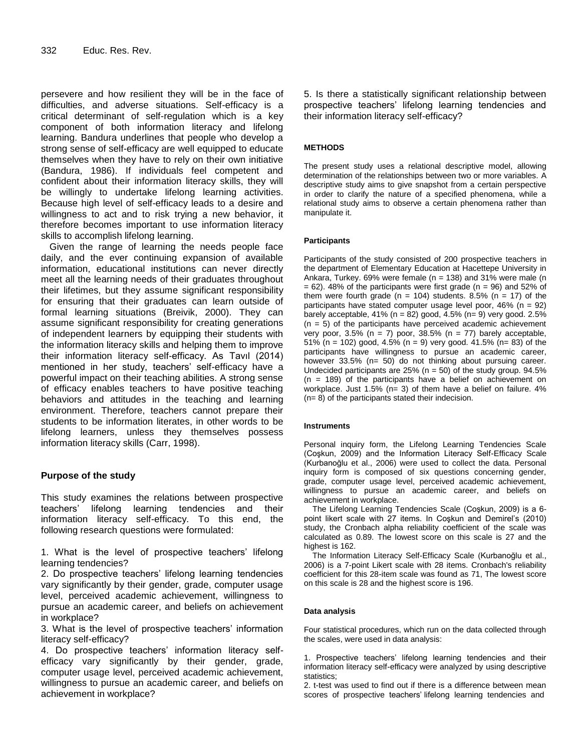persevere and how resilient they will be in the face of difficulties, and adverse situations. Self-efficacy is a critical determinant of self-regulation which is a key component of both information literacy and lifelong learning. Bandura underlines that people who develop a strong sense of self-efficacy are well equipped to educate themselves when they have to rely on their own initiative (Bandura, 1986). If individuals feel competent and confident about their information literacy skills, they will be willingly to undertake lifelong learning activities. Because high level of self-efficacy leads to a desire and willingness to act and to risk trying a new behavior, it therefore becomes important to use information literacy skills to accomplish lifelong learning.

Given the range of learning the needs people face daily, and the ever continuing expansion of available information, educational institutions can never directly meet all the learning needs of their graduates throughout their lifetimes, but they assume significant responsibility for ensuring that their graduates can learn outside of formal learning situations (Breivik, 2000). They can assume significant responsibility for creating generations of independent learners by equipping their students with the information literacy skills and helping them to improve their information literacy self-efficacy. As Tavıl (2014) mentioned in her study, teachers' self-efficacy have a powerful impact on their teaching abilities. A strong sense of efficacy enables teachers to have positive teaching behaviors and attitudes in the teaching and learning environment. Therefore, teachers cannot prepare their students to be information literates, in other words to be lifelong learners, unless they themselves possess information literacy skills (Carr, 1998).

# **Purpose of the study**

This study examines the relations between prospective teachers' lifelong learning tendencies and their information literacy self-efficacy. To this end, the following research questions were formulated:

1. What is the level of prospective teachers' lifelong learning tendencies?

2. Do prospective teachers' lifelong learning tendencies vary significantly by their gender, grade, computer usage level, perceived academic achievement, willingness to pursue an academic career, and beliefs on achievement in workplace?

3. What is the level of prospective teachers' information literacy self-efficacy?

4. Do prospective teachers' information literacy selfefficacy vary significantly by their gender, grade, computer usage level, perceived academic achievement, willingness to pursue an academic career, and beliefs on achievement in workplace?

5. Is there a statistically significant relationship between prospective teachers' lifelong learning tendencies and their information literacy self-efficacy?

# **METHODS**

The present study uses a relational descriptive model, allowing determination of the relationships between two or more variables. A descriptive study aims to give snapshot from a certain perspective in order to clarify the nature of a specified phenomena, while a relational study aims to observe a certain phenomena rather than manipulate it.

#### **Participants**

Participants of the study consisted of 200 prospective teachers in the department of Elementary Education at Hacettepe University in Ankara, Turkey. 69% were female ( $n = 138$ ) and 31% were male ( $n = 138$ )  $= 62$ ). 48% of the participants were first grade (n = 96) and 52% of them were fourth grade ( $n = 104$ ) students. 8.5% ( $n = 17$ ) of the participants have stated computer usage level poor,  $46\%$  (n = 92) barely acceptable,  $41\%$  (n = 82) good,  $4.5\%$  (n= 9) very good. 2.5%  $(n = 5)$  of the participants have perceived academic achievement very poor,  $3.5\%$  (n = 7) poor,  $38.5\%$  (n = 77) barely acceptable, 51% (n = 102) good, 4.5% (n = 9) very good. 41.5% (n= 83) of the participants have willingness to pursue an academic career, however 33.5% (n= 50) do not thinking about pursuing career. Undecided participants are  $25\%$  (n = 50) of the study group.  $94.5\%$ (n = 189) of the participants have a belief on achievement on workplace. Just 1.5% (n= 3) of them have a belief on failure. 4% (n= 8) of the participants stated their indecision.

#### **Instruments**

Personal inquiry form, the Lifelong Learning Tendencies Scale (Coşkun, 2009) and the Information Literacy Self-Efficacy Scale (Kurbanoğlu et al., 2006) were used to collect the data. Personal inquiry form is composed of six questions concerning gender, grade, computer usage level, perceived academic achievement, willingness to pursue an academic career, and beliefs on achievement in workplace.

The Lifelong Learning Tendencies Scale (Coşkun, 2009) is a 6 point likert scale with 27 items. In Coşkun and Demirel's (2010) study, the Cronbach alpha reliability coefficient of the scale was calculated as 0.89. The lowest score on this scale is 27 and the highest is 162.

The Information Literacy Self-Efficacy Scale (Kurbanoğlu et al., 2006) is a 7-point Likert scale with 28 items. Cronbach's reliability coefficient for this 28-item scale was found as 71, The lowest score on this scale is 28 and the highest score is 196.

#### **Data analysis**

Four statistical procedures, which run on the data collected through the scales, were used in data analysis:

1. Prospective teachers' lifelong learning tendencies and their information literacy self-efficacy were analyzed by using descriptive statistics;

2. t-test was used to find out if there is a difference between mean scores of prospective teachers' lifelong learning tendencies and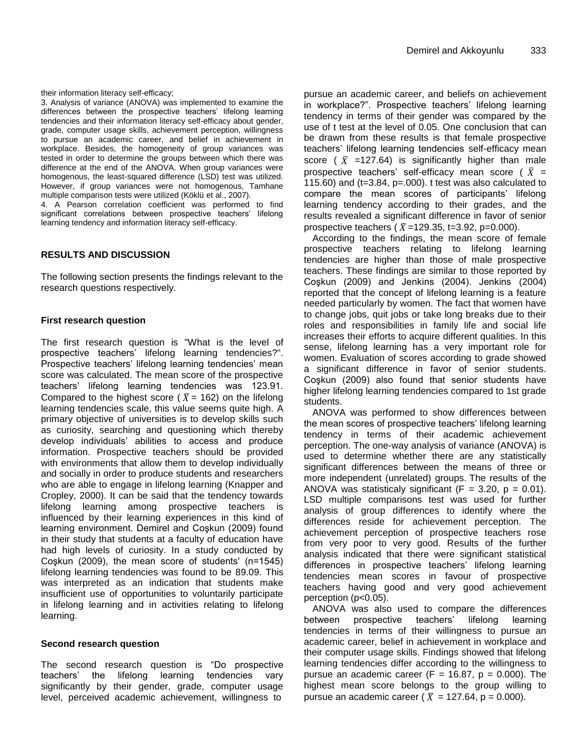their information literacy self-efficacy;

3. Analysis of variance (ANOVA) was implemented to examine the differences between the prospective teachers' lifelong learning tendencies and their information literacy self-efficacy about gender, grade, computer usage skills, achievement perception, willingness to pursue an academic career, and belief in achievement in workplace. Besides, the homogeneity of group variances was tested in order to determine the groups between which there was difference at the end of the ANOVA. When group variances were homogenous, the least-squared difference (LSD) test was utilized. However, if group variances were not homogenous, Tamhane multiple comparison tests were utilized (Köklü et al., 2007).

4. A Pearson correlation coefficient was performed to find significant correlations between prospective teachers' lifelong learning tendency and information literacy self-efficacy.

# **RESULTS AND DISCUSSION**

The following section presents the findings relevant to the research questions respectively.

#### **First research question**

The first research question is "What is the level of prospective teachers' lifelong learning tendencies?". Prospective teachers' lifelong learning tendencies' mean score was calculated. The mean score of the prospective teachers' lifelong learning tendencies was 123.91. Compared to the highest score ( $\bar{X}$  = 162) on the lifelong learning tendencies scale, this value seems quite high. A primary objective of universities is to develop skills such as curiosity, searching and questioning which thereby develop individuals' abilities to access and produce information. Prospective teachers should be provided with environments that allow them to develop individually and socially in order to produce students and researchers who are able to engage in lifelong learning (Knapper and Cropley, 2000). It can be said that the tendency towards lifelong learning among prospective teachers is influenced by their learning experiences in this kind of learning environment. Demirel and Coşkun (2009) found in their study that students at a faculty of education have had high levels of curiosity. In a study conducted by Coşkun (2009), the mean score of students' (n=1545) lifelong learning tendencies was found to be 89.09. This was interpreted as an indication that students make insufficient use of opportunities to voluntarily participate in lifelong learning and in activities relating to lifelong learning.

#### **Second research question**

The second research question is "Do prospective teachers' the lifelong learning tendencies vary significantly by their gender, grade, computer usage level, perceived academic achievement, willingness to

pursue an academic career, and beliefs on achievement in workplace?". Prospective teachers' lifelong learning tendency in terms of their gender was compared by the use of t test at the level of 0.05. One conclusion that can be drawn from these results is that female prospective teachers' lifelong learning tendencies self-efficacy mean score ( $\bar{X}$  =127.64) is significantly higher than male prospective teachers' self-efficacy mean score ( $\bar{X}$  = 115.60) and  $(t=3.84, p=.000)$ . t test was also calculated to compare the mean scores of participants' lifelong learning tendency according to their grades, and the results revealed a significant difference in favor of senior prospective teachers ( $\bar{X}$ =129.35, t=3.92, p=0.000).

According to the findings, the mean score of female prospective teachers relating to lifelong learning tendencies are higher than those of male prospective teachers. These findings are similar to those reported by Coşkun (2009) and Jenkins (2004). Jenkins (2004) reported that the concept of lifelong learning is a feature needed particularly by women. The fact that women have to change jobs, quit jobs or take long breaks due to their roles and responsibilities in family life and social life increases their efforts to acquire different qualities. In this sense, lifelong learning has a very important role for women. Evaluation of scores according to grade showed a significant difference in favor of senior students. Coşkun (2009) also found that senior students have higher lifelong learning tendencies compared to 1st grade students.

ANOVA was performed to show differences between the mean scores of prospective teachers' lifelong learning tendency in terms of their academic achievement perception. The one-way analysis of variance (ANOVA) is used to determine whether there are any statistically significant differences between the means of three or more independent (unrelated) groups. The results of the ANOVA was statisticaly significant ( $F = 3.20$ ,  $p = 0.01$ ). LSD multiple comparisons test was used for further analysis of group differences to identify where the differences reside for achievement perception. The achievement perception of prospective teachers rose from very poor to very good. Results of the further analysis indicated that there were significant statistical differences in prospective teachers' lifelong learning tendencies mean scores in favour of prospective teachers having good and very good achievement perception (p<0.05).

ANOVA was also used to compare the differences between prospective teachers' lifelong learning tendencies in terms of their willingness to pursue an academic career, belief in achievement in workplace and their computer usage skills. Findings showed that lifelong learning tendencies differ according to the willingness to pursue an academic career (F = 16.87,  $p = 0.000$ ). The highest mean score belongs to the group willing to pursue an academic career (  $\bar{X}$  = 127.64, p = 0.000).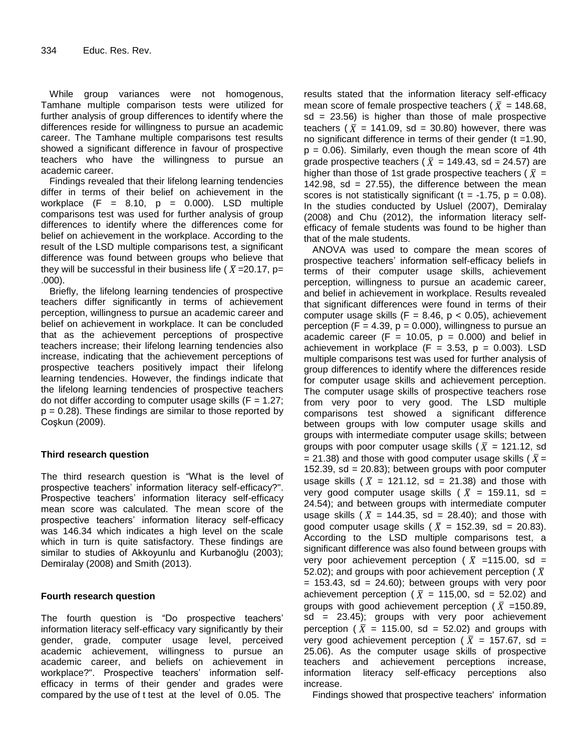While group variances were not homogenous, Tamhane multiple comparison tests were utilized for further analysis of group differences to identify where the differences reside for willingness to pursue an academic career. The Tamhane multiple comparisons test results showed a significant difference in favour of prospective teachers who have the willingness to pursue an academic career.

Findings revealed that their lifelong learning tendencies differ in terms of their belief on achievement in the workplace  $(F = 8.10, p = 0.000)$ . LSD multiple comparisons test was used for further analysis of group differences to identify where the differences come for belief on achievement in the workplace. According to the result of the LSD multiple comparisons test, a significant difference was found between groups who believe that they will be successful in their business life (  $\bar{X}$  =20.17, p= .000).

Briefly, the lifelong learning tendencies of prospective teachers differ significantly in terms of achievement perception, willingness to pursue an academic career and belief on achievement in workplace. It can be concluded that as the achievement perceptions of prospective teachers increase; their lifelong learning tendencies also increase, indicating that the achievement perceptions of prospective teachers positively impact their lifelong learning tendencies. However, the findings indicate that the lifelong learning tendencies of prospective teachers do not differ according to computer usage skills  $(F = 1.27)$ ;  $p = 0.28$ ). These findings are similar to those reported by Coşkun (2009).

# **Third research question**

The third research question is "What is the level of prospective teachers' information literacy self-efficacy?". Prospective teachers' information literacy self-efficacy mean score was calculated. The mean score of the prospective teachers' information literacy self-efficacy was 146.34 which indicates a high level on the scale which in turn is quite satisfactory. These findings are similar to studies of Akkoyunlu and Kurbanoğlu (2003); Demiralay (2008) and Smith (2013).

# **Fourth research question**

The fourth question is "Do prospective teachers' information literacy self-efficacy vary significantly by their gender, grade, computer usage level, perceived academic achievement, willingness to pursue an academic career, and beliefs on achievement in workplace?". Prospective teachers' information selfefficacy in terms of their gender and grades were compared by the use of t test at the level of 0.05. The

results stated that the information literacy self-efficacy mean score of female prospective teachers (  $\bar{X}$  = 148.68,  $sd = 23.56$ ) is higher than those of male prospective teachers ( $\bar{X}$  = 141.09, sd = 30.80) however, there was no significant difference in terms of their gender  $(t = 1.90$ ,  $p = 0.06$ ). Similarly, even though the mean score of 4th grade prospective teachers ( $\bar{X}$  = 149.43, sd = 24.57) are higher than those of 1st grade prospective teachers (  $\bar{X}$  = 142.98, sd =  $27.55$ ), the difference between the mean scores is not statistically significant ( $t = -1.75$ ,  $p = 0.08$ ). In the studies conducted by Usluel (2007), Demiralay (2008) and Chu (2012), the information literacy selfefficacy of female students was found to be higher than that of the male students.

ANOVA was used to compare the mean scores of prospective teachers' information self-efficacy beliefs in terms of their computer usage skills, achievement perception, willingness to pursue an academic career, and belief in achievement in workplace. Results revealed that significant differences were found in terms of their computer usage skills ( $F = 8.46$ ,  $p < 0.05$ ), achievement perception (F = 4.39,  $p = 0.000$ ), willingness to pursue an academic career (F = 10.05,  $p = 0.000$ ) and belief in achievement in workplace  $(F = 3.53, p = 0.003)$ . LSD multiple comparisons test was used for further analysis of group differences to identify where the differences reside for computer usage skills and achievement perception. The computer usage skills of prospective teachers rose from very poor to very good. The LSD multiple comparisons test showed a significant difference between groups with low computer usage skills and groups with intermediate computer usage skills; between groups with poor computer usage skills (  $\bar{X}$  = 121.12, sd = 21.38) and those with good computer usage skills (  $\bar{X}$  = 152.39, sd = 20.83); between groups with poor computer usage skills ( $\bar{X}$  = 121.12, sd = 21.38) and those with very good computer usage skills ( $\bar{X}$  = 159.11, sd = 24.54); and between groups with intermediate computer usage skills ( $\bar{X}$  = 144.35, sd = 28.40); and those with good computer usage skills ( $\bar{X}$  = 152.39, sd = 20.83). According to the LSD multiple comparisons test, a significant difference was also found between groups with very poor achievement perception ( $\bar{X}$  =115.00, sd = 52.02); and groups with poor achievement perception (  $\bar{X}$  $= 153.43$ , sd  $= 24.60$ ; between groups with very poor achievement perception ( $\bar{X}$  = 115,00, sd = 52.02) and groups with good achievement perception ( $\bar{X}$  =150.89,  $sd = 23.45$ ; groups with very poor achievement perception ( $\bar{X}$  = 115.00, sd = 52.02) and groups with very good achievement perception (  $\bar{X}$  = 157.67, sd = 25.06). As the computer usage skills of prospective teachers and achievement perceptions increase, information literacy self-efficacy perceptions also increase.

Findings showed that prospective teachers' information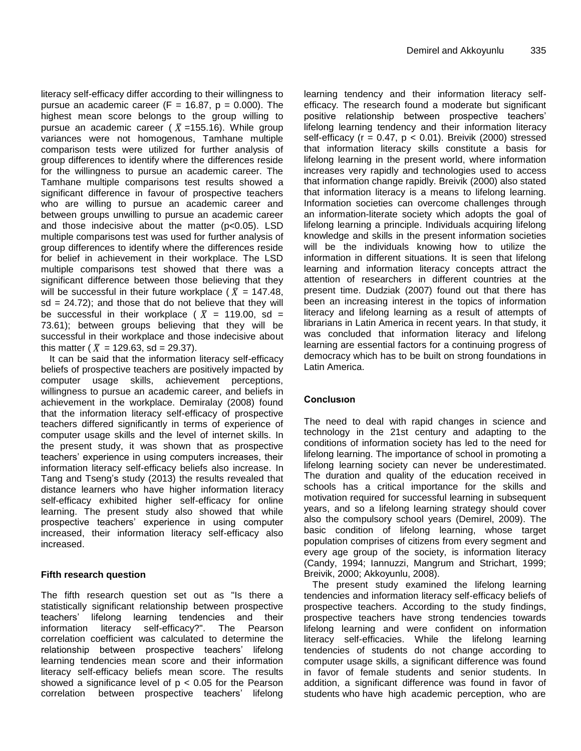literacy self-efficacy differ according to their willingness to pursue an academic career (F = 16.87,  $p = 0.000$ ). The highest mean score belongs to the group willing to pursue an academic career ( $\bar{X}$ =155.16). While group variances were not homogenous, Tamhane multiple comparison tests were utilized for further analysis of group differences to identify where the differences reside for the willingness to pursue an academic career. The Tamhane multiple comparisons test results showed a significant difference in favour of prospective teachers who are willing to pursue an academic career and between groups unwilling to pursue an academic career and those indecisive about the matter (p<0.05). LSD multiple comparisons test was used for further analysis of group differences to identify where the differences reside for belief in achievement in their workplace. The LSD multiple comparisons test showed that there was a significant difference between those believing that they will be successful in their future workplace ( $\bar{X}$  = 147.48,  $sd = 24.72$ ; and those that do not believe that they will be successful in their workplace (  $\bar{X}$  = 119.00, sd = 73.61); between groups believing that they will be successful in their workplace and those indecisive about this matter (  $\bar{X}$  = 129.63, sd = 29.37).

It can be said that the information literacy self-efficacy beliefs of prospective teachers are positively impacted by computer usage skills, achievement perceptions, willingness to pursue an academic career, and beliefs in achievement in the workplace. Demiralay (2008) found that the information literacy self-efficacy of prospective teachers differed significantly in terms of experience of computer usage skills and the level of internet skills. In the present study, it was shown that as prospective teachers' experience in using computers increases, their information literacy self-efficacy beliefs also increase. In Tang and Tseng's study (2013) the results revealed that distance learners who have higher information literacy self-efficacy exhibited higher self-efficacy for online learning. The present study also showed that while prospective teachers' experience in using computer increased, their information literacy self-efficacy also increased.

# **Fifth research question**

The fifth research question set out as "Is there a statistically significant relationship between prospective teachers' lifelong learning tendencies and their information literacy self-efficacy?". The Pearson correlation coefficient was calculated to determine the relationship between prospective teachers' lifelong learning tendencies mean score and their information literacy self-efficacy beliefs mean score. The results showed a significance level of  $p < 0.05$  for the Pearson correlation between prospective teachers' lifelong

learning tendency and their information literacy selfefficacy. The research found a moderate but significant positive relationship between prospective teachers' lifelong learning tendency and their information literacy self-efficacy ( $r = 0.47$ ,  $p < 0.01$ ). Breivik (2000) stressed that information literacy skills constitute a basis for lifelong learning in the present world, where information increases very rapidly and technologies used to access that information change rapidly. Breivik (2000) also stated that information literacy is a means to lifelong learning. Information societies can overcome challenges through an information-literate society which adopts the goal of lifelong learning a principle. Individuals acquiring lifelong knowledge and skills in the present information societies will be the individuals knowing how to utilize the information in different situations. It is seen that lifelong learning and information literacy concepts attract the attention of researchers in different countries at the present time. Dudziak (2007) found out that there has been an increasing interest in the topics of information literacy and lifelong learning as a result of attempts of librarians in Latin America in recent years. In that study, it was concluded that information literacy and lifelong learning are essential factors for a continuing progress of democracy which has to be built on strong foundations in Latin America.

# **Conclusıon**

The need to deal with rapid changes in science and technology in the 21st century and adapting to the conditions of information society has led to the need for lifelong learning. The importance of school in promoting a lifelong learning society can never be underestimated. The duration and quality of the education received in schools has a critical importance for the skills and motivation required for successful learning in subsequent years, and so a lifelong learning strategy should cover also the compulsory school years (Demirel, 2009). The basic condition of lifelong learning, whose target population comprises of citizens from every segment and every age group of the society, is information literacy (Candy, 1994; Iannuzzi, Mangrum and Strichart, 1999; Breivik, 2000; Akkoyunlu, 2008).

The present study examined the lifelong learning tendencies and information literacy self-efficacy beliefs of prospective teachers. According to the study findings, prospective teachers have strong tendencies towards lifelong learning and were confident on information literacy self-efficacies. While the lifelong learning tendencies of students do not change according to computer usage skills, a significant difference was found in favor of female students and senior students. In addition, a significant difference was found in favor of students who have high academic perception, who are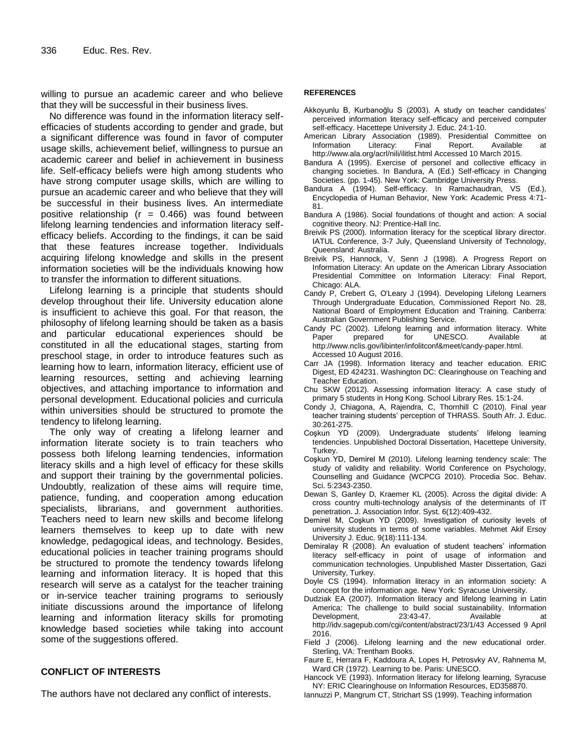willing to pursue an academic career and who believe that they will be successful in their business lives.

No difference was found in the information literacy selfefficacies of students according to gender and grade, but a significant difference was found in favor of computer usage skills, achievement belief, willingness to pursue an academic career and belief in achievement in business life. Self-efficacy beliefs were high among students who have strong computer usage skills, which are willing to pursue an academic career and who believe that they will be successful in their business lives. An intermediate positive relationship ( $r = 0.466$ ) was found between lifelong learning tendencies and information literacy selfefficacy beliefs. According to the findings, it can be said that these features increase together. Individuals acquiring lifelong knowledge and skills in the present information societies will be the individuals knowing how to transfer the information to different situations.

Lifelong learning is a principle that students should develop throughout their life. University education alone is insufficient to achieve this goal. For that reason, the philosophy of lifelong learning should be taken as a basis and particular educational experiences should be constituted in all the educational stages, starting from preschool stage, in order to introduce features such as learning how to learn, information literacy, efficient use of learning resources, setting and achieving learning objectives, and attaching importance to information and personal development. Educational policies and curricula within universities should be structured to promote the tendency to lifelong learning.

The only way of creating a lifelong learner and information literate society is to train teachers who possess both lifelong learning tendencies, information literacy skills and a high level of efficacy for these skills and support their training by the governmental policies. Undoubtly, realization of these aims will require time, patience, funding, and cooperation among education specialists, librarians, and government authorities. Teachers need to learn new skills and become lifelong learners themselves to keep up to date with new knowledge, pedagogical ideas, and technology. Besides, educational policies in teacher training programs should be structured to promote the tendency towards lifelong learning and information literacy. It is hoped that this research will serve as a catalyst for the teacher training or in-service teacher training programs to seriously initiate discussions around the importance of lifelong learning and information literacy skills for promoting knowledge based societies while taking into account some of the suggestions offered.

# **CONFLICT OF INTERESTS**

The authors have not declared any conflict of interests.

#### **REFERENCES**

- Akkoyunlu B, Kurbanoğlu S (2003). A study on teacher candidates' perceived information literacy self-efficacy and perceived computer self-efficacy. Hacettepe University J. Educ. 24:1-10.
- American Library Association (1989). Presidential Committee on Information Literacy: Final Report. Available at http://www.ala.org/acrl/nili/ilitlst.html Accessed 10 March 2015.
- Bandura A (1995). Exercise of personel and collective efficacy in changing societies. In Bandura, A (Ed.) Self-efficacy in Changing Societies. (pp. 1-45). New York: Cambridge University Press.
- Bandura A (1994). Self-efficacy. In Ramachaudran, VS (Ed.), Encyclopedia of Human Behavior, New York: Academic Press 4:71- 81.
- Bandura A (1986). Social foundations of thought and action: A social cognitive theory. NJ: Prentice-Hall Inc.
- Breivik PS (2000). Information literacy for the sceptical library director. IATUL Conference, 3-7 July, Queensland University of Technology, Queensland: Australia.
- Breivik PS, Hannock, V, Senn J (1998). A Progress Report on Information Literacy: An update on the American Library Association Presidential Committee on Information Literacy: Final Report, Chicago: ALA.
- Candy P, Crebert G, O'Leary J (1994). Developing Lifelong Learners Through Undergraduate Education, Commissioned Report No. 28, National Board of Employment Education and Training. Canberra: Australian Government Publishing Service.
- Candy PC (2002). Lifelong learning and information literacy. White Paper prepared for UNESCO. Available at http://www.nclis.gov/libinter/infolitconf&meet/candy-paper.html. Accessed 10 August 2016.
- Carr JA (1998). Information literacy and teacher education. ERIC Digest, ED 424231. Washington DC: Clearinghouse on Teaching and Teacher Education.
- Chu SKW (2012). Assessing information literacy: A case study of primary 5 students in Hong Kong. School Library Res. 15:1-24.
- Condy J, Chiagona, A, Rajendra, C, Thornhill C (2010). Final year teacher training students' perception of THRASS. South Afr. J. Educ. 30:261-275.
- Coşkun YD (2009). Undergraduate students' lifelong learning tendencies. Unpublished Doctoral Dissertation, Hacettepe University, Turkey.
- Coşkun YD, Demirel M (2010). Lifelong learning tendency scale: The study of validity and reliability. World Conference on Psychology, Counselling and Guidance (WCPCG 2010). Procedia Soc. Behav. Sci. 5:2343-2350.
- Dewan S, Ganley D, Kraemer KL (2005). Across the digital divide: A cross country multi-technology analysis of the determinants of IT penetration. J. Association Infor. Syst. 6(12):409-432.
- Demirel M, Coşkun YD (2009). Investigation of curiosity levels of university students in terms of some variables. Mehmet Akif Ersoy University J. Educ. 9(18):111-134.
- Demiralay R (2008). An evaluation of student teachers' information literacy self-efficacy in point of usage of information and communication technologies. Unpublished Master Dissertation, Gazi University, Turkey.
- Doyle CS (1994). Information literacy in an information society: A concept for the information age. New York: Syracuse University.
- Dudziak EA (2007). Information literacy and lifelong learning in Latin America: The challenge to build social sustainability. Information Development, 23:43-47. Available at http://idv.sagepub.com/cgi/content/abstract/23/1/43 Accessed 9 April 2016.
- Field J (2006). Lifelong learning and the new educational order. Sterling, VA: Trentham Books.
- Faure E, Herrara F, Kaddoura A, Lopes H, Petrosvky AV, Rahnema M, Ward CR (1972). Learning to be. Paris: UNESCO.
- Hancock VE (1993). Information literacy for lifelong learning, Syracuse NY: ERIC Clearinghouse on Information Resources, ED358870.
- Iannuzzi P, Mangrum CT, Strichart SS (1999). Teaching information